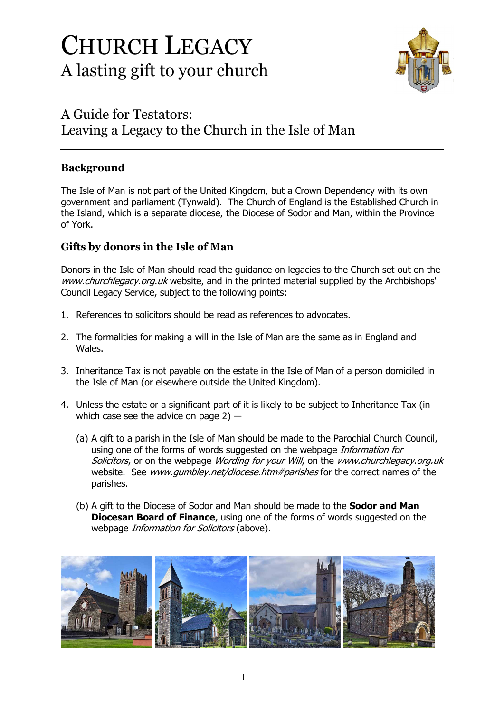# CHURCH LEGACY A lasting gift to your church



## A Guide for Testators: Leaving a Legacy to the Church in the Isle of Man

### **Background**

The Isle of Man is not part of the United Kingdom, but a Crown Dependency with its own government and parliament (Tynwald). The Church of England is the Established Church in the Island, which is a separate diocese, the Diocese of Sodor and Man, within the Province of York.

#### **Gifts by donors in the Isle of Man**

Donors in the Isle of Man should read the guidance on legacies to the Church set out on the www.churchlegacy.org.uk website, and in the printed material supplied by the Archbishops' Council Legacy Service, subject to the following points:

- 1. References to solicitors should be read as references to advocates.
- 2. The formalities for making a will in the Isle of Man are the same as in England and Wales.
- 3. Inheritance Tax is not payable on the estate in the Isle of Man of a person domiciled in the Isle of Man (or elsewhere outside the United Kingdom).
- 4. Unless the estate or a significant part of it is likely to be subject to Inheritance Tax (in which case see the advice on page 2) ―
	- (a) A gift to a parish in the Isle of Man should be made to the Parochial Church Council, using one of the forms of words suggested on the webpage *Information for* Solicitors, or on the webpage *Wording for your Will*, on the *www.churchlegacy.org.uk* website. See www.qumbley.net/diocese.htm#parishes for the correct names of the parishes.
	- (b) A gift to the Diocese of Sodor and Man should be made to the **Sodor and Man Diocesan Board of Finance**, using one of the forms of words suggested on the webpage *Information for Solicitors* (above).